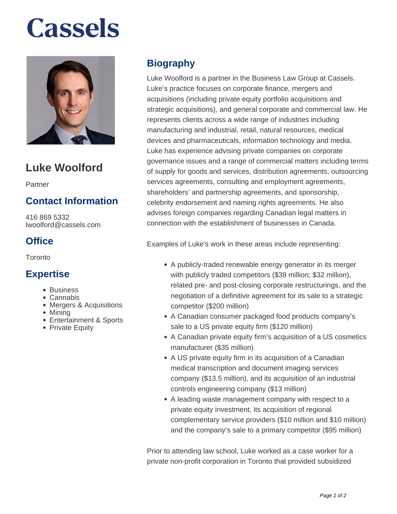# **Cassels**



## **Luke Woolford**

Partner

### **Contact Information**

416 869 5332 lwoolford@cassels.com

### **Office**

**Toronto** 

#### **Expertise**

- Business
- Cannabis
- Mergers & Acquisitions
- Mining
- Entertainment & Sports
- Private Equity

### **Biography**

Luke Woolford is a partner in the Business Law Group at Cassels. Luke's practice focuses on corporate finance, mergers and acquisitions (including private equity portfolio acquisitions and strategic acquisitions), and general corporate and commercial law. He represents clients across a wide range of industries including manufacturing and industrial, retail, natural resources, medical devices and pharmaceuticals, information technology and media. Luke has experience advising private companies on corporate governance issues and a range of commercial matters including terms of supply for goods and services, distribution agreements, outsourcing services agreements, consulting and employment agreements, shareholders' and partnership agreements, and sponsorship, celebrity endorsement and naming rights agreements. He also advises foreign companies regarding Canadian legal matters in connection with the establishment of businesses in Canada.

Examples of Luke's work in these areas include representing:

- A publicly-traded renewable energy generator in its merger with publicly traded competitors (\$39 million; \$32 million), related pre- and post-closing corporate restructurings, and the negotiation of a definitive agreement for its sale to a strategic competitor (\$200 million)
- A Canadian consumer packaged food products company's sale to a US private equity firm (\$120 million)
- A Canadian private equity firm's acquisition of a US cosmetics manufacturer (\$35 million)
- A US private equity firm in its acquisition of a Canadian medical transcription and document imaging services company (\$13.5 million), and its acquisition of an industrial controls engineering company (\$13 million)
- A leading waste management company with respect to a private equity investment, its acquisition of regional complementary service providers (\$10 million and \$10 million) and the company's sale to a primary competitor (\$95 million)

Prior to attending law school, Luke worked as a case worker for a private non-profit corporation in Toronto that provided subsidized